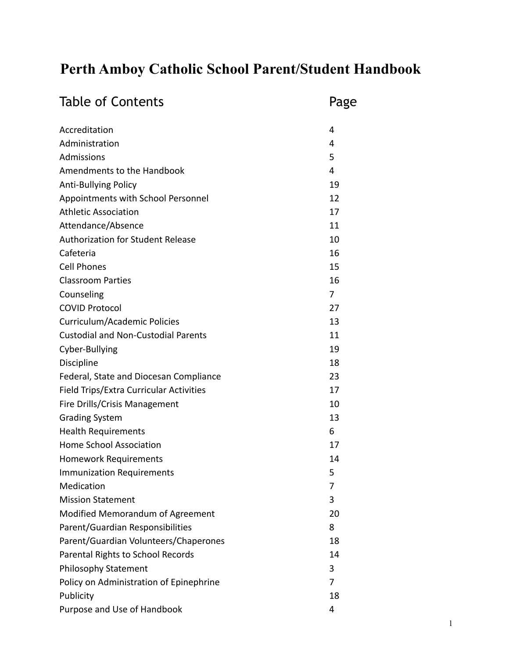# **Perth Amboy Catholic School Parent/Student Handbook**

| <b>Table of Contents</b>                   | Page |
|--------------------------------------------|------|
| Accreditation                              | 4    |
| Administration                             | 4    |
| Admissions                                 | 5    |
| Amendments to the Handbook                 | 4    |
| <b>Anti-Bullying Policy</b>                | 19   |
| Appointments with School Personnel         | 12   |
| <b>Athletic Association</b>                | 17   |
| Attendance/Absence                         | 11   |
| <b>Authorization for Student Release</b>   | 10   |
| Cafeteria                                  | 16   |
| <b>Cell Phones</b>                         | 15   |
| <b>Classroom Parties</b>                   | 16   |
| Counseling                                 | 7    |
| <b>COVID Protocol</b>                      | 27   |
| Curriculum/Academic Policies               | 13   |
| <b>Custodial and Non-Custodial Parents</b> | 11   |
| Cyber-Bullying                             | 19   |
| Discipline                                 | 18   |
| Federal, State and Diocesan Compliance     | 23   |
| Field Trips/Extra Curricular Activities    | 17   |
| Fire Drills/Crisis Management              | 10   |
| <b>Grading System</b>                      | 13   |
| <b>Health Requirements</b>                 | 6    |
| <b>Home School Association</b>             | 17   |
| <b>Homework Requirements</b>               | 14   |
| <b>Immunization Requirements</b>           | 5    |
| Medication                                 | 7    |
| <b>Mission Statement</b>                   | 3    |
| Modified Memorandum of Agreement           | 20   |
| Parent/Guardian Responsibilities           | 8    |
| Parent/Guardian Volunteers/Chaperones      | 18   |
| Parental Rights to School Records          | 14   |
| Philosophy Statement                       | 3    |
| Policy on Administration of Epinephrine    | 7    |
| Publicity                                  | 18   |
| Purpose and Use of Handbook                | 4    |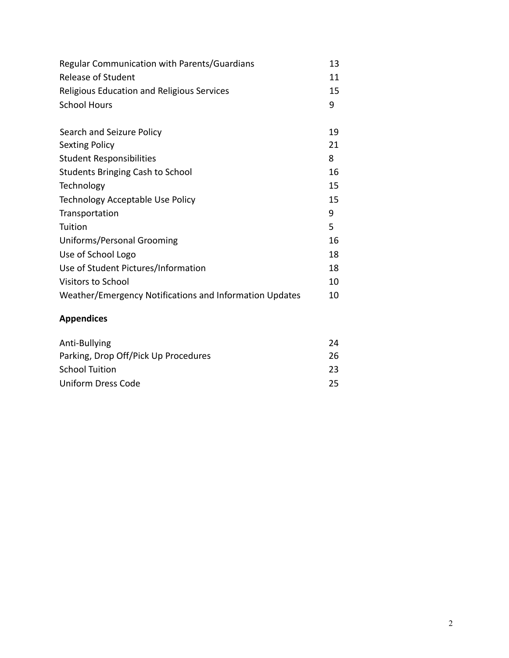| <b>Regular Communication with Parents/Guardians</b>     | 13 |
|---------------------------------------------------------|----|
| <b>Release of Student</b>                               | 11 |
| Religious Education and Religious Services              | 15 |
| <b>School Hours</b>                                     | 9  |
|                                                         |    |
| Search and Seizure Policy                               | 19 |
| <b>Sexting Policy</b>                                   | 21 |
| <b>Student Responsibilities</b>                         | 8  |
| <b>Students Bringing Cash to School</b>                 | 16 |
| Technology                                              | 15 |
| Technology Acceptable Use Policy                        | 15 |
| Transportation                                          | 9  |
| Tuition                                                 | 5  |
| Uniforms/Personal Grooming                              | 16 |
| Use of School Logo                                      | 18 |
| Use of Student Pictures/Information                     | 18 |
| <b>Visitors to School</b>                               | 10 |
| Weather/Emergency Notifications and Information Updates | 10 |

## **Appendices**

| Anti-Bullying                        | 24  |
|--------------------------------------|-----|
| Parking, Drop Off/Pick Up Procedures | 26  |
| <b>School Tuition</b>                | 23. |
| Uniform Dress Code                   | 25. |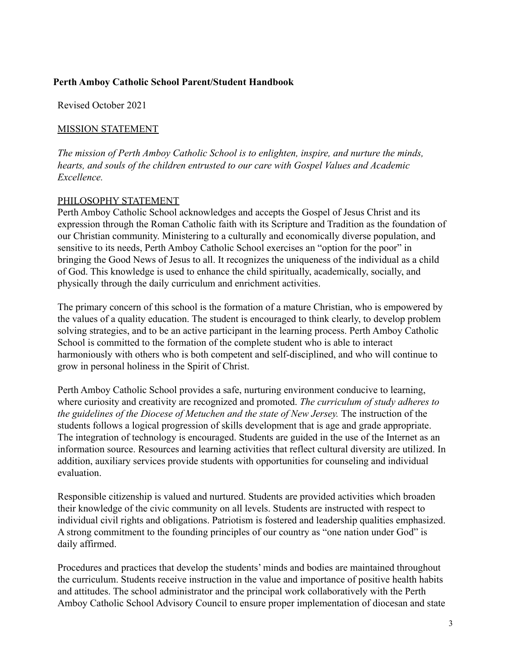#### **Perth Amboy Catholic School Parent/Student Handbook**

Revised October 2021

#### MISSION STATEMENT

*The mission of Perth Amboy Catholic School is to enlighten, inspire, and nurture the minds, hearts, and souls of the children entrusted to our care with Gospel Values and Academic Excellence.*

#### PHILOSOPHY STATEMENT

Perth Amboy Catholic School acknowledges and accepts the Gospel of Jesus Christ and its expression through the Roman Catholic faith with its Scripture and Tradition as the foundation of our Christian community. Ministering to a culturally and economically diverse population, and sensitive to its needs, Perth Amboy Catholic School exercises an "option for the poor" in bringing the Good News of Jesus to all. It recognizes the uniqueness of the individual as a child of God. This knowledge is used to enhance the child spiritually, academically, socially, and physically through the daily curriculum and enrichment activities.

The primary concern of this school is the formation of a mature Christian, who is empowered by the values of a quality education. The student is encouraged to think clearly, to develop problem solving strategies, and to be an active participant in the learning process. Perth Amboy Catholic School is committed to the formation of the complete student who is able to interact harmoniously with others who is both competent and self-disciplined, and who will continue to grow in personal holiness in the Spirit of Christ.

Perth Amboy Catholic School provides a safe, nurturing environment conducive to learning, where curiosity and creativity are recognized and promoted. *The curriculum of study adheres to the guidelines of the Diocese of Metuchen and the state of New Jersey.* The instruction of the students follows a logical progression of skills development that is age and grade appropriate. The integration of technology is encouraged. Students are guided in the use of the Internet as an information source. Resources and learning activities that reflect cultural diversity are utilized. In addition, auxiliary services provide students with opportunities for counseling and individual evaluation.

Responsible citizenship is valued and nurtured. Students are provided activities which broaden their knowledge of the civic community on all levels. Students are instructed with respect to individual civil rights and obligations. Patriotism is fostered and leadership qualities emphasized. A strong commitment to the founding principles of our country as "one nation under God" is daily affirmed.

Procedures and practices that develop the students' minds and bodies are maintained throughout the curriculum. Students receive instruction in the value and importance of positive health habits and attitudes. The school administrator and the principal work collaboratively with the Perth Amboy Catholic School Advisory Council to ensure proper implementation of diocesan and state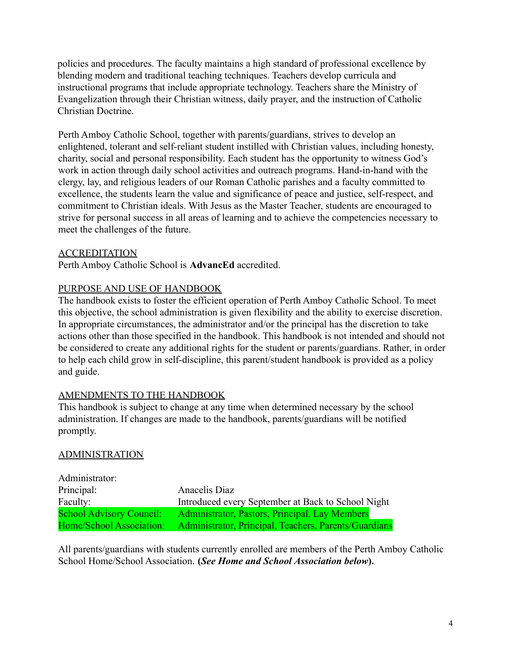policies and procedures. The faculty maintains a high standard of professional excellence by blending modern and traditional teaching techniques. Teachers develop curricula and instructional programs that include appropriate technology. Teachers share the Ministry of Evangelization through their Christian witness, daily prayer, and the instruction of Catholic Christian Doctrine.

Perth Amboy Catholic School, together with parents/guardians, strives to develop an enlightened, tolerant and self-reliant student instilled with Christian values, including honesty, charity, social and personal responsibility. Each student has the opportunity to witness God's work in action through daily school activities and outreach programs. Hand-in-hand with the clergy, lay, and religious leaders of our Roman Catholic parishes and a faculty committed to excellence, the students learn the value and significance of peace and justice, self-respect, and commitment to Christian ideals. With Jesus as the Master Teacher, students are encouraged to strive for personal success in all areas of learning and to achieve the competencies necessary to meet the challenges of the future.

#### ACCREDITATION

Perth Amboy Catholic School is **AdvancEd** accredited.

#### PURPOSE AND USE OF HANDBOOK

The handbook exists to foster the efficient operation of Perth Amboy Catholic School. To meet this objective, the school administration is given flexibility and the ability to exercise discretion. In appropriate circumstances, the administrator and/or the principal has the discretion to take actions other than those specified in the handbook. This handbook is not intended and should not be considered to create any additional rights for the student or parents/guardians. Rather, in order to help each child grow in self-discipline, this parent/student handbook is provided as a policy and guide.

#### AMENDMENTS TO THE HANDBOOK

This handbook is subject to change at any time when determined necessary by the school administration. If changes are made to the handbook, parents/guardians will be notified promptly.

#### ADMINISTRATION

| Administrator:                  |                                                       |
|---------------------------------|-------------------------------------------------------|
| Principal:                      | Anacelis Diaz                                         |
| Faculty:                        | Introduced every September at Back to School Night    |
| <b>School Advisory Council:</b> | Administrator, Pastors, Principal, Lay Members        |
| Home/School Association:        | Administrator, Principal, Teachers, Parents/Guardians |

All parents/guardians with students currently enrolled are members of the Perth Amboy Catholic School Home/School Association. **(***See Home and School Association below***).**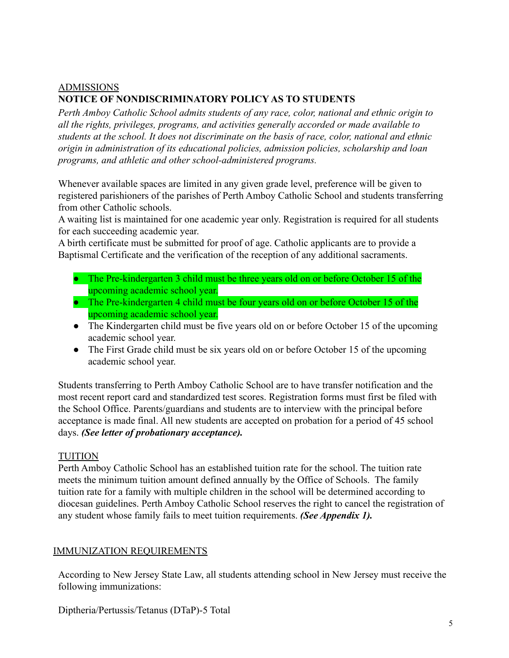## ADMISSIONS **NOTICE OF NONDISCRIMINATORY POLICY AS TO STUDENTS**

*Perth Amboy Catholic School admits students of any race, color, national and ethnic origin to all the rights, privileges, programs, and activities generally accorded or made available to students at the school. It does not discriminate on the basis of race, color, national and ethnic origin in administration of its educational policies, admission policies, scholarship and loan programs, and athletic and other school-administered programs.*

Whenever available spaces are limited in any given grade level, preference will be given to registered parishioners of the parishes of Perth Amboy Catholic School and students transferring from other Catholic schools.

A waiting list is maintained for one academic year only. Registration is required for all students for each succeeding academic year.

A birth certificate must be submitted for proof of age. Catholic applicants are to provide a Baptismal Certificate and the verification of the reception of any additional sacraments.

- The Pre-kindergarten 3 child must be three years old on or before October 15 of the upcoming academic school year.
- The Pre-kindergarten 4 child must be four years old on or before October 15 of the upcoming academic school year.
- The Kindergarten child must be five years old on or before October 15 of the upcoming academic school year.
- The First Grade child must be six years old on or before October 15 of the upcoming academic school year.

Students transferring to Perth Amboy Catholic School are to have transfer notification and the most recent report card and standardized test scores. Registration forms must first be filed with the School Office. Parents/guardians and students are to interview with the principal before acceptance is made final. All new students are accepted on probation for a period of 45 school days. *(See letter of probationary acceptance).*

#### TUITION

Perth Amboy Catholic School has an established tuition rate for the school. The tuition rate meets the minimum tuition amount defined annually by the Office of Schools. The family tuition rate for a family with multiple children in the school will be determined according to diocesan guidelines. Perth Amboy Catholic School reserves the right to cancel the registration of any student whose family fails to meet tuition requirements. *(See Appendix 1).*

### IMMUNIZATION REQUIREMENTS

According to New Jersey State Law, all students attending school in New Jersey must receive the following immunizations:

Diptheria/Pertussis/Tetanus (DTaP)-5 Total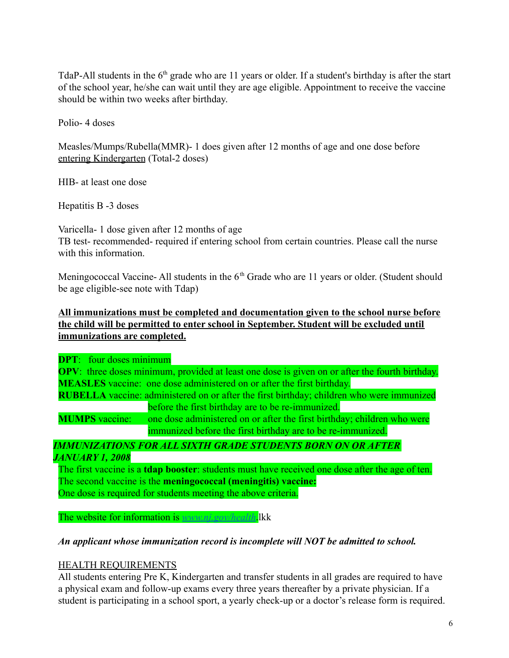TdaP-All students in the  $6<sup>th</sup>$  grade who are 11 years or older. If a student's birthday is after the start of the school year, he/she can wait until they are age eligible. Appointment to receive the vaccine should be within two weeks after birthday.

Polio- 4 doses

Measles/Mumps/Rubella(MMR)- 1 does given after 12 months of age and one dose before entering Kindergarten (Total-2 doses)

HIB- at least one dose

Hepatitis B -3 doses

Varicella- 1 dose given after 12 months of age TB test- recommended- required if entering school from certain countries. Please call the nurse with this information

Meningococcal Vaccine- All students in the  $6<sup>th</sup>$  Grade who are 11 years or older. (Student should be age eligible-see note with Tdap)

#### **All immunizations must be completed and documentation given to the school nurse before the child will be permitted to enter school in September. Student will be excluded until immunizations are completed.**

**DPT**: four doses minimum **OPV**: three doses minimum, provided at least one dose is given on or after the fourth birthday. **MEASLES** vaccine: one dose administered on or after the first birthday. **RUBELLA** vaccine: administered on or after the first birthday; children who were immunized

before the first birthday are to be re-immunized. **MUMPS** vaccine: one dose administered on or after the first birthday; children who were immunized before the first birthday are to be re-immunized.

#### *IMMUNIZATIONS FOR ALL SIXTH GRADE STUDENTS BORN ON OR AFTER JANUARY 1, 2008*

The first vaccine is a **tdap booster**: students must have received one dose after the age of ten. The second vaccine is the **meningococcal (meningitis) vaccine:** One dose is required for students meeting the above criteria.

The website for information is *[www.nj.gov/health](http://www.nj.gov/health)*.lkk

#### *An applicant whose immunization record is incomplete will NOT be admitted to school.*

#### HEALTH REQUIREMENTS

All students entering Pre K, Kindergarten and transfer students in all grades are required to have a physical exam and follow-up exams every three years thereafter by a private physician. If a student is participating in a school sport, a yearly check-up or a doctor's release form is required.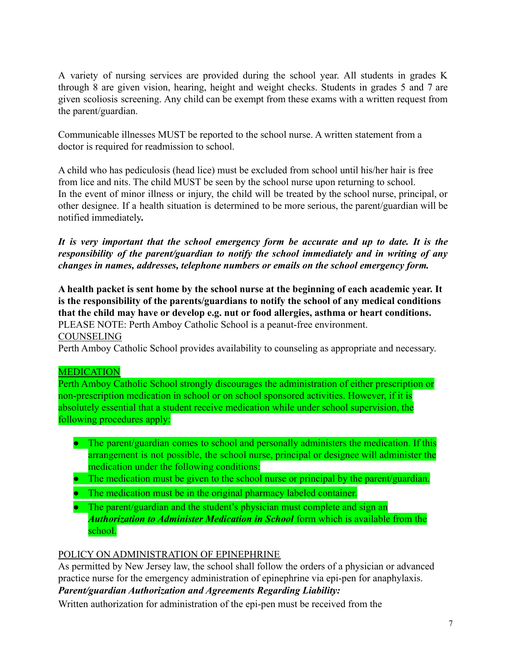A variety of nursing services are provided during the school year. All students in grades K through 8 are given vision, hearing, height and weight checks. Students in grades 5 and 7 are given scoliosis screening. Any child can be exempt from these exams with a written request from the parent/guardian.

Communicable illnesses MUST be reported to the school nurse. A written statement from a doctor is required for readmission to school.

A child who has pediculosis (head lice) must be excluded from school until his/her hair is free from lice and nits. The child MUST be seen by the school nurse upon returning to school. In the event of minor illness or injury, the child will be treated by the school nurse, principal, or other designee. If a health situation is determined to be more serious, the parent/guardian will be notified immediately*.*

*It is very important that the school emergency form be accurate and up to date. It is the responsibility of the parent/guardian to notify the school immediately and in writing of any changes in names, addresses, telephone numbers or emails on the school emergency form.*

**A health packet is sent home by the school nurse at the beginning of each academic year. It is the responsibility of the parents/guardians to notify the school of any medical conditions that the child may have or develop e.g. nut or food allergies, asthma or heart conditions.** PLEASE NOTE: Perth Amboy Catholic School is a peanut-free environment. COUNSELING Perth Amboy Catholic School provides availability to counseling as appropriate and necessary.

### MEDICATION

Perth Amboy Catholic School strongly discourages the administration of either prescription or non-prescription medication in school or on school sponsored activities. However, if it is absolutely essential that a student receive medication while under school supervision, the following procedures apply:

- The parent/guardian comes to school and personally administers the medication. If this arrangement is not possible, the school nurse, principal or designee will administer the medication under the following conditions:
- The medication must be given to the school nurse or principal by the parent/guardian.
- The medication must be in the original pharmacy labeled container.
- The parent/guardian and the student's physician must complete and sign an *Authorization to Administer Medication in School* form which is available from the school.

## POLICY ON ADMINISTRATION OF EPINEPHRINE

As permitted by New Jersey law, the school shall follow the orders of a physician or advanced practice nurse for the emergency administration of epinephrine via epi-pen for anaphylaxis.

*Parent/guardian Authorization and Agreements Regarding Liability:*

Written authorization for administration of the epi-pen must be received from the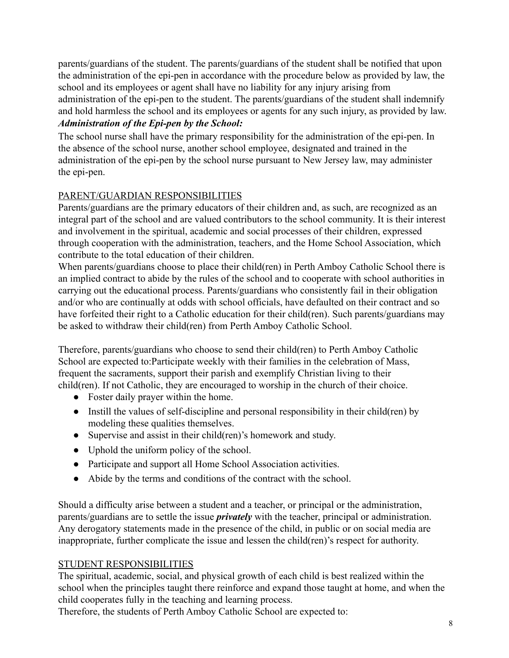parents/guardians of the student. The parents/guardians of the student shall be notified that upon the administration of the epi-pen in accordance with the procedure below as provided by law, the school and its employees or agent shall have no liability for any injury arising from administration of the epi-pen to the student. The parents/guardians of the student shall indemnify and hold harmless the school and its employees or agents for any such injury, as provided by law.

## *Administration of the Epi-pen by the School:*

The school nurse shall have the primary responsibility for the administration of the epi-pen. In the absence of the school nurse, another school employee, designated and trained in the administration of the epi-pen by the school nurse pursuant to New Jersey law, may administer the epi-pen.

### PARENT/GUARDIAN RESPONSIBILITIES

Parents/guardians are the primary educators of their children and, as such, are recognized as an integral part of the school and are valued contributors to the school community. It is their interest and involvement in the spiritual, academic and social processes of their children, expressed through cooperation with the administration, teachers, and the Home School Association, which contribute to the total education of their children.

When parents/guardians choose to place their child(ren) in Perth Amboy Catholic School there is an implied contract to abide by the rules of the school and to cooperate with school authorities in carrying out the educational process. Parents/guardians who consistently fail in their obligation and/or who are continually at odds with school officials, have defaulted on their contract and so have forfeited their right to a Catholic education for their child(ren). Such parents/guardians may be asked to withdraw their child(ren) from Perth Amboy Catholic School.

Therefore, parents/guardians who choose to send their child(ren) to Perth Amboy Catholic School are expected to:Participate weekly with their families in the celebration of Mass, frequent the sacraments, support their parish and exemplify Christian living to their child(ren). If not Catholic, they are encouraged to worship in the church of their choice.

- Foster daily prayer within the home.
- Instill the values of self-discipline and personal responsibility in their child(ren) by modeling these qualities themselves.
- Supervise and assist in their child(ren)'s homework and study.
- Uphold the uniform policy of the school.
- Participate and support all Home School Association activities.
- Abide by the terms and conditions of the contract with the school.

Should a difficulty arise between a student and a teacher, or principal or the administration, parents/guardians are to settle the issue *privately* with the teacher, principal or administration. Any derogatory statements made in the presence of the child, in public or on social media are inappropriate, further complicate the issue and lessen the child(ren)'s respect for authority.

#### STUDENT RESPONSIBILITIES

The spiritual, academic, social, and physical growth of each child is best realized within the school when the principles taught there reinforce and expand those taught at home, and when the child cooperates fully in the teaching and learning process.

Therefore, the students of Perth Amboy Catholic School are expected to: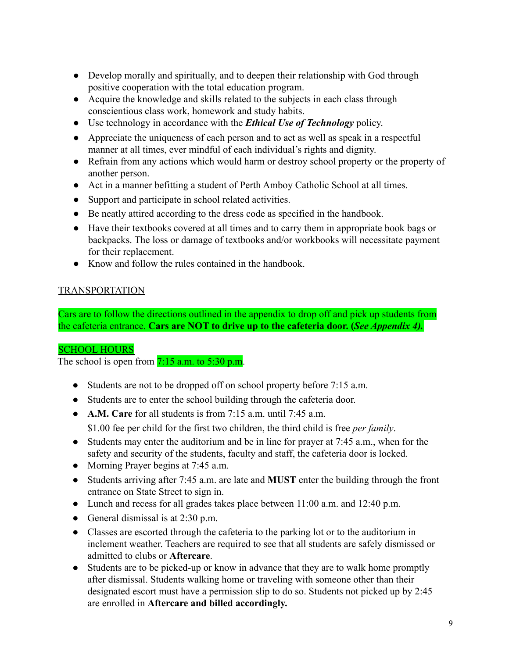- Develop morally and spiritually, and to deepen their relationship with God through positive cooperation with the total education program.
- Acquire the knowledge and skills related to the subjects in each class through conscientious class work, homework and study habits.
- Use technology in accordance with the *Ethical Use of Technology* policy.
- Appreciate the uniqueness of each person and to act as well as speak in a respectful manner at all times, ever mindful of each individual's rights and dignity.
- Refrain from any actions which would harm or destroy school property or the property of another person.
- Act in a manner befitting a student of Perth Amboy Catholic School at all times.
- Support and participate in school related activities.
- Be neatly attired according to the dress code as specified in the handbook.
- Have their textbooks covered at all times and to carry them in appropriate book bags or backpacks. The loss or damage of textbooks and/or workbooks will necessitate payment for their replacement.
- Know and follow the rules contained in the handbook.

#### TRANSPORTATION

Cars are to follow the directions outlined in the appendix to drop off and pick up students from the cafeteria entrance. **Cars are NOT to drive up to the cafeteria door. (***See Appendix 4).*

#### SCHOOL HOURS

The school is open from  $7:15$  a.m. to  $5:30$  p.m.

- Students are not to be dropped off on school property before 7:15 a.m.
- Students are to enter the school building through the cafeteria door.
- **A.M. Care** for all students is from 7:15 a.m. until 7:45 a.m.

\$1.00 fee per child for the first two children, the third child is free *per family*.

- Students may enter the auditorium and be in line for prayer at 7:45 a.m., when for the safety and security of the students, faculty and staff, the cafeteria door is locked.
- Morning Prayer begins at 7:45 a.m.
- Students arriving after 7:45 a.m. are late and **MUST** enter the building through the front entrance on State Street to sign in.
- Lunch and recess for all grades takes place between 11:00 a.m. and 12:40 p.m.
- General dismissal is at  $2:30$  p.m.
- Classes are escorted through the cafeteria to the parking lot or to the auditorium in inclement weather. Teachers are required to see that all students are safely dismissed or admitted to clubs or **Aftercare**.
- **●** Students are to be picked-up or know in advance that they are to walk home promptly after dismissal. Students walking home or traveling with someone other than their designated escort must have a permission slip to do so. Students not picked up by 2:45 are enrolled in **Aftercare and billed accordingly.**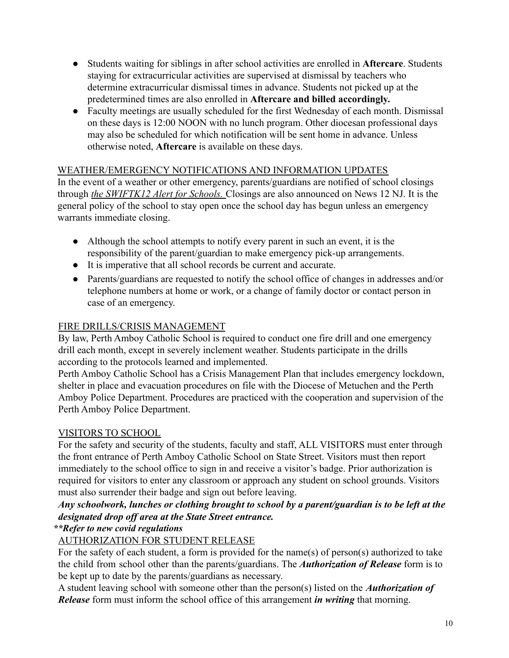- **●** Students waiting for siblings in after school activities are enrolled in **Aftercare**. Students staying for extracurricular activities are supervised at dismissal by teachers who determine extracurricular dismissal times in advance. Students not picked up at the predetermined times are also enrolled in **Aftercare and billed accordingly.**
- Faculty meetings are usually scheduled for the first Wednesday of each month. Dismissal on these days is 12:00 NOON with no lunch program. Other diocesan professional days may also be scheduled for which notification will be sent home in advance. Unless otherwise noted, **Aftercare** is available on these days.

#### WEATHER/EMERGENCY NOTIFICATIONS AND INFORMATION UPDATES

In the event of a weather or other emergency, parents/guardians are notified of school closings through *the SWIFTK12 Alert for Schools.* Closings are also announced on News 12 NJ. It is the general policy of the school to stay open once the school day has begun unless an emergency warrants immediate closing.

- Although the school attempts to notify every parent in such an event, it is the responsibility of the parent/guardian to make emergency pick-up arrangements.
- It is imperative that all school records be current and accurate.
- Parents/guardians are requested to notify the school office of changes in addresses and/or telephone numbers at home or work, or a change of family doctor or contact person in case of an emergency.

## FIRE DRILLS/CRISIS MANAGEMENT

By law, Perth Amboy Catholic School is required to conduct one fire drill and one emergency drill each month, except in severely inclement weather. Students participate in the drills according to the protocols learned and implemented.

Perth Amboy Catholic School has a Crisis Management Plan that includes emergency lockdown, shelter in place and evacuation procedures on file with the Diocese of Metuchen and the Perth Amboy Police Department. Procedures are practiced with the cooperation and supervision of the Perth Amboy Police Department.

## VISITORS TO SCHOOL

For the safety and security of the students, faculty and staff, ALL VISITORS must enter through the front entrance of Perth Amboy Catholic School on State Street. Visitors must then report immediately to the school office to sign in and receive a visitor's badge. Prior authorization is required for visitors to enter any classroom or approach any student on school grounds. Visitors must also surrender their badge and sign out before leaving.

## *Any schoolwork, lunches or clothing brought to school by a parent/guardian is to be left at the designated drop off area at the State Street entrance.*

## *\*\*Refer to new covid regulations*

## AUTHORIZATION FOR STUDENT RELEASE

For the safety of each student, a form is provided for the name(s) of person(s) authorized to take the child from school other than the parents/guardians. The *Authorization of Release* form is to be kept up to date by the parents/guardians as necessary.

A student leaving school with someone other than the person(s) listed on the *Authorization of Release* form must inform the school office of this arrangement *in writing* that morning.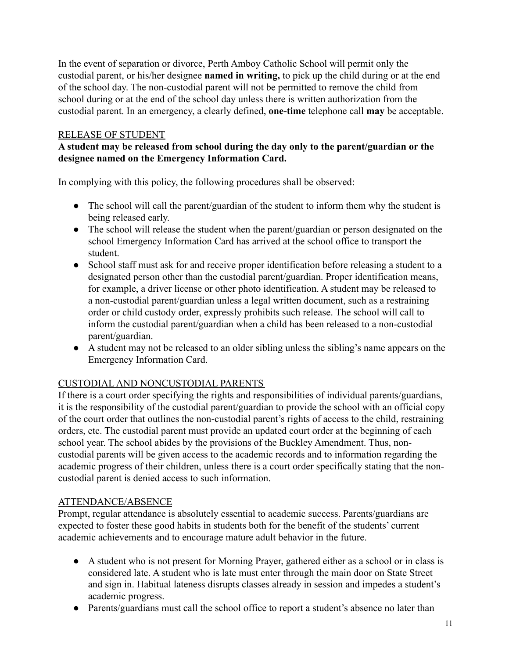In the event of separation or divorce, Perth Amboy Catholic School will permit only the custodial parent, or his/her designee **named in writing,** to pick up the child during or at the end of the school day. The non-custodial parent will not be permitted to remove the child from school during or at the end of the school day unless there is written authorization from the custodial parent. In an emergency, a clearly defined, **one-time** telephone call **may** be acceptable.

#### RELEASE OF STUDENT

#### **A student may be released from school during the day only to the parent/guardian or the designee named on the Emergency Information Card.**

In complying with this policy, the following procedures shall be observed:

- The school will call the parent/guardian of the student to inform them why the student is being released early.
- The school will release the student when the parent/guardian or person designated on the school Emergency Information Card has arrived at the school office to transport the student.
- School staff must ask for and receive proper identification before releasing a student to a designated person other than the custodial parent/guardian. Proper identification means, for example, a driver license or other photo identification. A student may be released to a non-custodial parent/guardian unless a legal written document, such as a restraining order or child custody order, expressly prohibits such release. The school will call to inform the custodial parent/guardian when a child has been released to a non-custodial parent/guardian.
- A student may not be released to an older sibling unless the sibling's name appears on the Emergency Information Card.

### CUSTODIAL AND NONCUSTODIAL PARENTS

If there is a court order specifying the rights and responsibilities of individual parents/guardians, it is the responsibility of the custodial parent/guardian to provide the school with an official copy of the court order that outlines the non-custodial parent's rights of access to the child, restraining orders, etc. The custodial parent must provide an updated court order at the beginning of each school year. The school abides by the provisions of the Buckley Amendment. Thus, noncustodial parents will be given access to the academic records and to information regarding the academic progress of their children, unless there is a court order specifically stating that the noncustodial parent is denied access to such information.

#### ATTENDANCE/ABSENCE

Prompt, regular attendance is absolutely essential to academic success. Parents/guardians are expected to foster these good habits in students both for the benefit of the students' current academic achievements and to encourage mature adult behavior in the future.

- A student who is not present for Morning Prayer, gathered either as a school or in class is considered late. A student who is late must enter through the main door on State Street and sign in. Habitual lateness disrupts classes already in session and impedes a student's academic progress.
- Parents/guardians must call the school office to report a student's absence no later than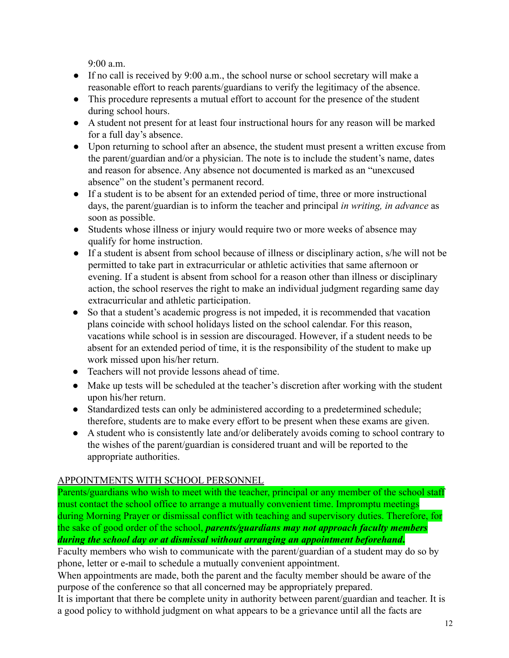$9.00 a m$ 

- $\bullet$  If no call is received by 9:00 a.m., the school nurse or school secretary will make a reasonable effort to reach parents/guardians to verify the legitimacy of the absence.
- This procedure represents a mutual effort to account for the presence of the student during school hours.
- A student not present for at least four instructional hours for any reason will be marked for a full day's absence.
- Upon returning to school after an absence, the student must present a written excuse from the parent/guardian and/or a physician. The note is to include the student's name, dates and reason for absence. Any absence not documented is marked as an "unexcused absence" on the student's permanent record.
- If a student is to be absent for an extended period of time, three or more instructional days, the parent/guardian is to inform the teacher and principal *in writing, in advance* as soon as possible.
- Students whose illness or injury would require two or more weeks of absence may qualify for home instruction.
- If a student is absent from school because of illness or disciplinary action, s/he will not be permitted to take part in extracurricular or athletic activities that same afternoon or evening. If a student is absent from school for a reason other than illness or disciplinary action, the school reserves the right to make an individual judgment regarding same day extracurricular and athletic participation.
- So that a student's academic progress is not impeded, it is recommended that vacation plans coincide with school holidays listed on the school calendar. For this reason, vacations while school is in session are discouraged. However, if a student needs to be absent for an extended period of time, it is the responsibility of the student to make up work missed upon his/her return.
- Teachers will not provide lessons ahead of time.
- Make up tests will be scheduled at the teacher's discretion after working with the student upon his/her return.
- Standardized tests can only be administered according to a predetermined schedule; therefore, students are to make every effort to be present when these exams are given.
- A student who is consistently late and/or deliberately avoids coming to school contrary to the wishes of the parent/guardian is considered truant and will be reported to the appropriate authorities.

## APPOINTMENTS WITH SCHOOL PERSONNEL

Parents/guardians who wish to meet with the teacher, principal or any member of the school staff must contact the school office to arrange a mutually convenient time. Impromptu meetings during Morning Prayer or dismissal conflict with teaching and supervisory duties. Therefore, for the sake of good order of the school, *parents/guardians may not approach faculty members during the school day or at dismissal without arranging an appointment beforehand***.**

Faculty members who wish to communicate with the parent/guardian of a student may do so by phone, letter or e-mail to schedule a mutually convenient appointment.

When appointments are made, both the parent and the faculty member should be aware of the purpose of the conference so that all concerned may be appropriately prepared.

It is important that there be complete unity in authority between parent/guardian and teacher. It is a good policy to withhold judgment on what appears to be a grievance until all the facts are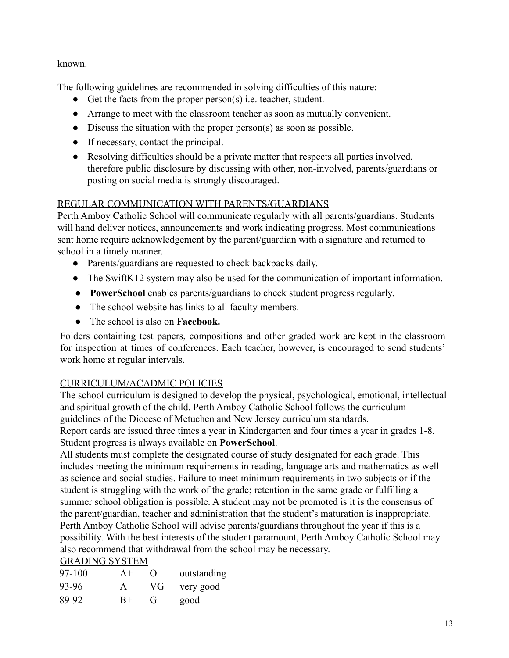known.

The following guidelines are recommended in solving difficulties of this nature:

- Get the facts from the proper person(s) i.e. teacher, student.
- Arrange to meet with the classroom teacher as soon as mutually convenient.
- Discuss the situation with the proper person(s) as soon as possible.
- If necessary, contact the principal.
- Resolving difficulties should be a private matter that respects all parties involved, therefore public disclosure by discussing with other, non-involved, parents/guardians or posting on social media is strongly discouraged.

### REGULAR COMMUNICATION WITH PARENTS/GUARDIANS

Perth Amboy Catholic School will communicate regularly with all parents/guardians. Students will hand deliver notices, announcements and work indicating progress. Most communications sent home require acknowledgement by the parent/guardian with a signature and returned to school in a timely manner.

- Parents/guardians are requested to check backpacks daily.
- The SwiftK12 system may also be used for the communication of important information.
- **PowerSchool** enables parents/guardians to check student progress regularly.
- The school website has links to all faculty members.
- **●** The school is also on **Facebook.**

Folders containing test papers, compositions and other graded work are kept in the classroom for inspection at times of conferences. Each teacher, however, is encouraged to send students' work home at regular intervals.

## CURRICULUM/ACADMIC POLICIES

The school curriculum is designed to develop the physical, psychological, emotional, intellectual and spiritual growth of the child. Perth Amboy Catholic School follows the curriculum guidelines of the Diocese of Metuchen and New Jersey curriculum standards.

Report cards are issued three times a year in Kindergarten and four times a year in grades 1-8. Student progress is always available on **PowerSchool**.

All students must complete the designated course of study designated for each grade. This includes meeting the minimum requirements in reading, language arts and mathematics as well as science and social studies. Failure to meet minimum requirements in two subjects or if the student is struggling with the work of the grade; retention in the same grade or fulfilling a summer school obligation is possible. A student may not be promoted is it is the consensus of the parent/guardian, teacher and administration that the student's maturation is inappropriate. Perth Amboy Catholic School will advise parents/guardians throughout the year if this is a possibility. With the best interests of the student paramount, Perth Amboy Catholic School may also recommend that withdrawal from the school may be necessary. GRADING SYSTEM

| <u>UN IDINU DI DI LINI</u> |             |                  |             |
|----------------------------|-------------|------------------|-------------|
| 97-100                     | $A+$        | $\left( \right)$ | outstanding |
| 93-96                      | A           | VG.              | very good   |
| 89-92                      | $_{\rm B+}$ | $\mathbf{r}$     | good        |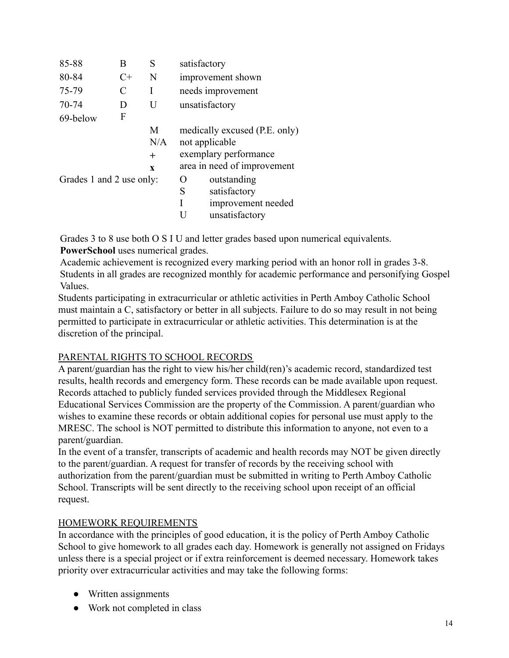| 85-88    | В                                            | S            | satisfactory                  |
|----------|----------------------------------------------|--------------|-------------------------------|
| 80-84    | $C+$                                         | N            | improvement shown             |
| 75-79    | C                                            |              | needs improvement             |
| 70-74    | D                                            | U            | unsatisfactory                |
| 69-below | F                                            |              |                               |
|          |                                              | M            | medically excused (P.E. only) |
|          |                                              | N/A          | not applicable                |
|          |                                              | $^{+}$       | exemplary performance         |
|          |                                              | $\mathbf{x}$ | area in need of improvement   |
|          | Grades 1 and 2 use only:<br>outstanding<br>0 |              |                               |
|          |                                              |              | satisfactory<br>S             |
|          |                                              |              | improvement needed            |
|          |                                              |              | unsatisfactory                |

Grades 3 to 8 use both O S I U and letter grades based upon numerical equivalents.

**PowerSchool** uses numerical grades.

Academic achievement is recognized every marking period with an honor roll in grades 3-8. Students in all grades are recognized monthly for academic performance and personifying Gospel Values.

Students participating in extracurricular or athletic activities in Perth Amboy Catholic School must maintain a C, satisfactory or better in all subjects. Failure to do so may result in not being permitted to participate in extracurricular or athletic activities. This determination is at the discretion of the principal.

### PARENTAL RIGHTS TO SCHOOL RECORDS

A parent/guardian has the right to view his/her child(ren)'s academic record, standardized test results, health records and emergency form. These records can be made available upon request. Records attached to publicly funded services provided through the Middlesex Regional Educational Services Commission are the property of the Commission. A parent/guardian who wishes to examine these records or obtain additional copies for personal use must apply to the MRESC. The school is NOT permitted to distribute this information to anyone, not even to a parent/guardian.

In the event of a transfer, transcripts of academic and health records may NOT be given directly to the parent/guardian. A request for transfer of records by the receiving school with authorization from the parent/guardian must be submitted in writing to Perth Amboy Catholic School. Transcripts will be sent directly to the receiving school upon receipt of an official request.

#### HOMEWORK REQUIREMENTS

In accordance with the principles of good education, it is the policy of Perth Amboy Catholic School to give homework to all grades each day. Homework is generally not assigned on Fridays unless there is a special project or if extra reinforcement is deemed necessary. Homework takes priority over extracurricular activities and may take the following forms:

- Written assignments
- Work not completed in class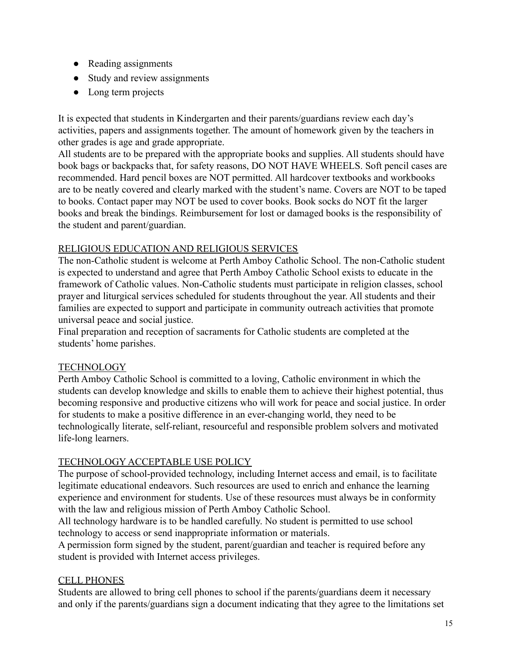- Reading assignments
- Study and review assignments
- Long term projects

It is expected that students in Kindergarten and their parents/guardians review each day's activities, papers and assignments together. The amount of homework given by the teachers in other grades is age and grade appropriate.

All students are to be prepared with the appropriate books and supplies. All students should have book bags or backpacks that, for safety reasons, DO NOT HAVE WHEELS. Soft pencil cases are recommended. Hard pencil boxes are NOT permitted. All hardcover textbooks and workbooks are to be neatly covered and clearly marked with the student's name. Covers are NOT to be taped to books. Contact paper may NOT be used to cover books. Book socks do NOT fit the larger books and break the bindings. Reimbursement for lost or damaged books is the responsibility of the student and parent/guardian.

### RELIGIOUS EDUCATION AND RELIGIOUS SERVICES

The non-Catholic student is welcome at Perth Amboy Catholic School. The non-Catholic student is expected to understand and agree that Perth Amboy Catholic School exists to educate in the framework of Catholic values. Non-Catholic students must participate in religion classes, school prayer and liturgical services scheduled for students throughout the year. All students and their families are expected to support and participate in community outreach activities that promote universal peace and social justice.

Final preparation and reception of sacraments for Catholic students are completed at the students' home parishes.

## **TECHNOLOGY**

Perth Amboy Catholic School is committed to a loving, Catholic environment in which the students can develop knowledge and skills to enable them to achieve their highest potential, thus becoming responsive and productive citizens who will work for peace and social justice. In order for students to make a positive difference in an ever-changing world, they need to be technologically literate, self-reliant, resourceful and responsible problem solvers and motivated life-long learners.

## TECHNOLOGY ACCEPTABLE USE POLICY

The purpose of school-provided technology, including Internet access and email, is to facilitate legitimate educational endeavors. Such resources are used to enrich and enhance the learning experience and environment for students. Use of these resources must always be in conformity with the law and religious mission of Perth Amboy Catholic School.

All technology hardware is to be handled carefully. No student is permitted to use school technology to access or send inappropriate information or materials.

A permission form signed by the student, parent/guardian and teacher is required before any student is provided with Internet access privileges.

### CELL PHONES

Students are allowed to bring cell phones to school if the parents/guardians deem it necessary and only if the parents/guardians sign a document indicating that they agree to the limitations set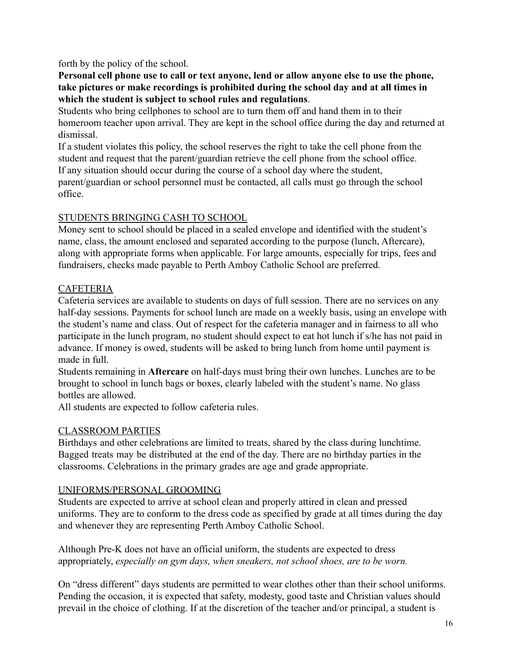forth by the policy of the school.

**Personal cell phone use to call or text anyone, lend or allow anyone else to use the phone, take pictures or make recordings is prohibited during the school day and at all times in which the student is subject to school rules and regulations**.

Students who bring cellphones to school are to turn them off and hand them in to their homeroom teacher upon arrival. They are kept in the school office during the day and returned at dismissal.

If a student violates this policy, the school reserves the right to take the cell phone from the student and request that the parent/guardian retrieve the cell phone from the school office. If any situation should occur during the course of a school day where the student,

parent/guardian or school personnel must be contacted, all calls must go through the school office.

#### STUDENTS BRINGING CASH TO SCHOOL

Money sent to school should be placed in a sealed envelope and identified with the student's name, class, the amount enclosed and separated according to the purpose (lunch, Aftercare), along with appropriate forms when applicable. For large amounts, especially for trips, fees and fundraisers, checks made payable to Perth Amboy Catholic School are preferred.

### **CAFETERIA**

Cafeteria services are available to students on days of full session. There are no services on any half-day sessions. Payments for school lunch are made on a weekly basis, using an envelope with the student's name and class. Out of respect for the cafeteria manager and in fairness to all who participate in the lunch program, no student should expect to eat hot lunch if s/he has not paid in advance. If money is owed, students will be asked to bring lunch from home until payment is made in full.

Students remaining in **Aftercare** on half-days must bring their own lunches. Lunches are to be brought to school in lunch bags or boxes, clearly labeled with the student's name. No glass bottles are allowed.

All students are expected to follow cafeteria rules.

### CLASSROOM PARTIES

Birthdays and other celebrations are limited to treats, shared by the class during lunchtime. Bagged treats may be distributed at the end of the day. There are no birthday parties in the classrooms. Celebrations in the primary grades are age and grade appropriate.

### UNIFORMS/PERSONAL GROOMING

Students are expected to arrive at school clean and properly attired in clean and pressed uniforms. They are to conform to the dress code as specified by grade at all times during the day and whenever they are representing Perth Amboy Catholic School.

Although Pre-K does not have an official uniform, the students are expected to dress appropriately, *especially on gym days, when sneakers, not school shoes, are to be worn.*

On "dress different" days students are permitted to wear clothes other than their school uniforms. Pending the occasion, it is expected that safety, modesty, good taste and Christian values should prevail in the choice of clothing. If at the discretion of the teacher and/or principal, a student is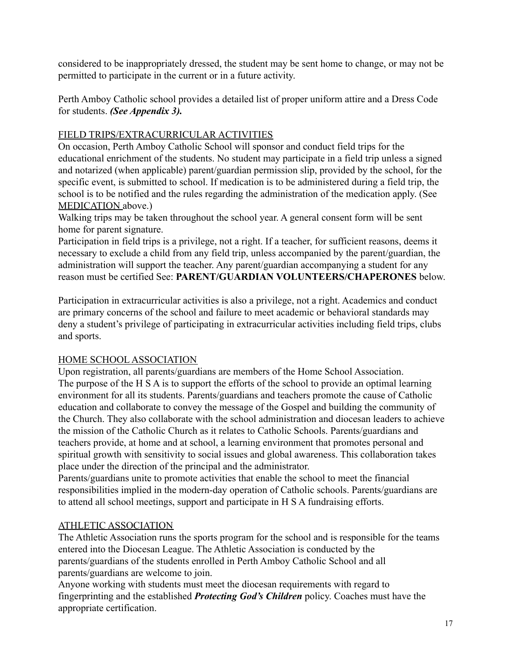considered to be inappropriately dressed, the student may be sent home to change, or may not be permitted to participate in the current or in a future activity.

Perth Amboy Catholic school provides a detailed list of proper uniform attire and a Dress Code for students. *(See Appendix 3).*

## FIELD TRIPS/EXTRACURRICULAR ACTIVITIES

On occasion, Perth Amboy Catholic School will sponsor and conduct field trips for the educational enrichment of the students. No student may participate in a field trip unless a signed and notarized (when applicable) parent/guardian permission slip, provided by the school, for the specific event, is submitted to school. If medication is to be administered during a field trip, the school is to be notified and the rules regarding the administration of the medication apply. (See MEDICATION above.)

Walking trips may be taken throughout the school year. A general consent form will be sent home for parent signature.

Participation in field trips is a privilege, not a right. If a teacher, for sufficient reasons, deems it necessary to exclude a child from any field trip, unless accompanied by the parent/guardian, the administration will support the teacher. Any parent/guardian accompanying a student for any reason must be certified See: **PARENT/GUARDIAN VOLUNTEERS/CHAPERONES** below.

Participation in extracurricular activities is also a privilege, not a right. Academics and conduct are primary concerns of the school and failure to meet academic or behavioral standards may deny a student's privilege of participating in extracurricular activities including field trips, clubs and sports.

## HOME SCHOOL ASSOCIATION

Upon registration, all parents/guardians are members of the Home School Association. The purpose of the H S A is to support the efforts of the school to provide an optimal learning environment for all its students. Parents/guardians and teachers promote the cause of Catholic education and collaborate to convey the message of the Gospel and building the community of the Church. They also collaborate with the school administration and diocesan leaders to achieve the mission of the Catholic Church as it relates to Catholic Schools. Parents/guardians and teachers provide, at home and at school, a learning environment that promotes personal and spiritual growth with sensitivity to social issues and global awareness. This collaboration takes place under the direction of the principal and the administrator.

Parents/guardians unite to promote activities that enable the school to meet the financial responsibilities implied in the modern-day operation of Catholic schools. Parents/guardians are to attend all school meetings, support and participate in H S A fundraising efforts.

## ATHLETIC ASSOCIATION

The Athletic Association runs the sports program for the school and is responsible for the teams entered into the Diocesan League. The Athletic Association is conducted by the parents/guardians of the students enrolled in Perth Amboy Catholic School and all parents/guardians are welcome to join.

Anyone working with students must meet the diocesan requirements with regard to fingerprinting and the established *Protecting God's Children* policy. Coaches must have the appropriate certification.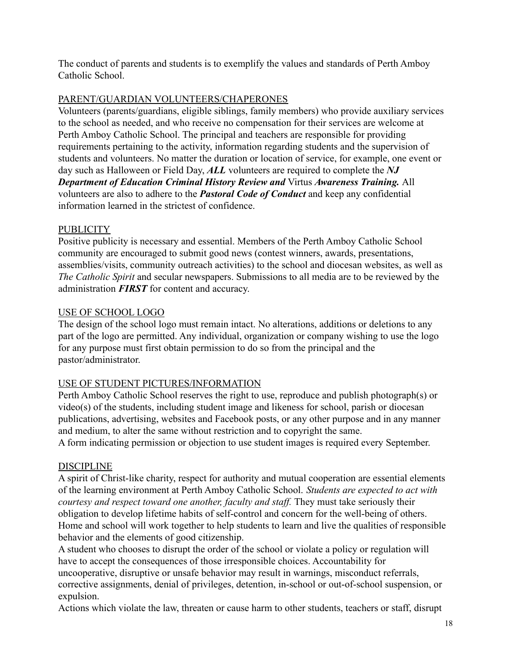The conduct of parents and students is to exemplify the values and standards of Perth Amboy Catholic School.

#### PARENT/GUARDIAN VOLUNTEERS/CHAPERONES

Volunteers (parents/guardians, eligible siblings, family members) who provide auxiliary services to the school as needed, and who receive no compensation for their services are welcome at Perth Amboy Catholic School. The principal and teachers are responsible for providing requirements pertaining to the activity, information regarding students and the supervision of students and volunteers. No matter the duration or location of service, for example, one event or day such as Halloween or Field Day, *ALL* volunteers are required to complete the *NJ Department of Education Criminal History Review and* Virtus *Awareness Training.* All volunteers are also to adhere to the *Pastoral Code of Conduct* and keep any confidential information learned in the strictest of confidence.

### **PUBLICITY**

Positive publicity is necessary and essential. Members of the Perth Amboy Catholic School community are encouraged to submit good news (contest winners, awards, presentations, assemblies/visits, community outreach activities) to the school and diocesan websites, as well as *The Catholic Spirit* and secular newspapers. Submissions to all media are to be reviewed by the administration *FIRST* for content and accuracy.

### USE OF SCHOOL LOGO

The design of the school logo must remain intact. No alterations, additions or deletions to any part of the logo are permitted. Any individual, organization or company wishing to use the logo for any purpose must first obtain permission to do so from the principal and the pastor/administrator.

#### USE OF STUDENT PICTURES/INFORMATION

Perth Amboy Catholic School reserves the right to use, reproduce and publish photograph(s) or video(s) of the students, including student image and likeness for school, parish or diocesan publications, advertising, websites and Facebook posts, or any other purpose and in any manner and medium, to alter the same without restriction and to copyright the same.

A form indicating permission or objection to use student images is required every September.

#### DISCIPLINE

A spirit of Christ-like charity, respect for authority and mutual cooperation are essential elements of the learning environment at Perth Amboy Catholic School. *Students are expected to act with courtesy and respect toward one another, faculty and staff.* They must take seriously their obligation to develop lifetime habits of self-control and concern for the well-being of others. Home and school will work together to help students to learn and live the qualities of responsible behavior and the elements of good citizenship.

A student who chooses to disrupt the order of the school or violate a policy or regulation will have to accept the consequences of those irresponsible choices. Accountability for uncooperative, disruptive or unsafe behavior may result in warnings, misconduct referrals, corrective assignments, denial of privileges, detention, in-school or out-of-school suspension, or expulsion.

Actions which violate the law, threaten or cause harm to other students, teachers or staff, disrupt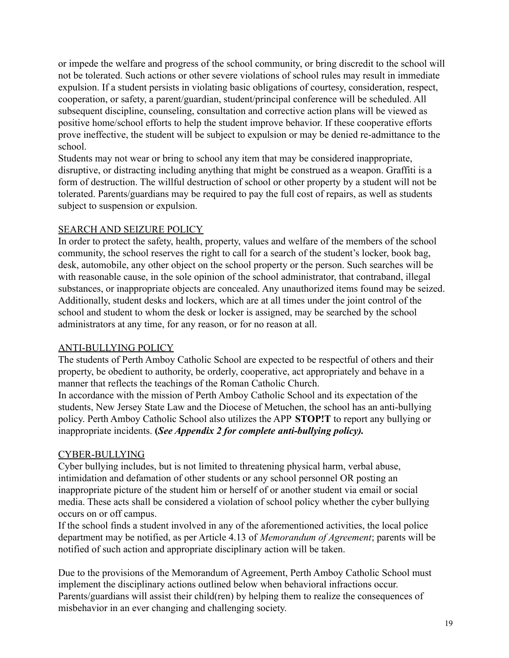or impede the welfare and progress of the school community, or bring discredit to the school will not be tolerated. Such actions or other severe violations of school rules may result in immediate expulsion. If a student persists in violating basic obligations of courtesy, consideration, respect, cooperation, or safety, a parent/guardian, student/principal conference will be scheduled. All subsequent discipline, counseling, consultation and corrective action plans will be viewed as positive home/school efforts to help the student improve behavior. If these cooperative efforts prove ineffective, the student will be subject to expulsion or may be denied re-admittance to the school.

Students may not wear or bring to school any item that may be considered inappropriate, disruptive, or distracting including anything that might be construed as a weapon. Graffiti is a form of destruction. The willful destruction of school or other property by a student will not be tolerated. Parents/guardians may be required to pay the full cost of repairs, as well as students subject to suspension or expulsion.

#### SEARCH AND SEIZURE POLICY

In order to protect the safety, health, property, values and welfare of the members of the school community, the school reserves the right to call for a search of the student's locker, book bag, desk, automobile, any other object on the school property or the person. Such searches will be with reasonable cause, in the sole opinion of the school administrator, that contraband, illegal substances, or inappropriate objects are concealed. Any unauthorized items found may be seized. Additionally, student desks and lockers, which are at all times under the joint control of the school and student to whom the desk or locker is assigned, may be searched by the school administrators at any time, for any reason, or for no reason at all.

#### ANTI-BULLYING POLICY

The students of Perth Amboy Catholic School are expected to be respectful of others and their property, be obedient to authority, be orderly, cooperative, act appropriately and behave in a manner that reflects the teachings of the Roman Catholic Church.

In accordance with the mission of Perth Amboy Catholic School and its expectation of the students, New Jersey State Law and the Diocese of Metuchen, the school has an anti-bullying policy. Perth Amboy Catholic School also utilizes the APP **STOP!T** to report any bullying or inappropriate incidents. **(***See Appendix 2 for complete anti-bullying policy).*

#### CYBER-BULLYING

Cyber bullying includes, but is not limited to threatening physical harm, verbal abuse, intimidation and defamation of other students or any school personnel OR posting an inappropriate picture of the student him or herself of or another student via email or social media. These acts shall be considered a violation of school policy whether the cyber bullying occurs on or off campus.

If the school finds a student involved in any of the aforementioned activities, the local police department may be notified, as per Article 4.13 of *Memorandum of Agreement*; parents will be notified of such action and appropriate disciplinary action will be taken.

Due to the provisions of the Memorandum of Agreement, Perth Amboy Catholic School must implement the disciplinary actions outlined below when behavioral infractions occur. Parents/guardians will assist their child(ren) by helping them to realize the consequences of misbehavior in an ever changing and challenging society.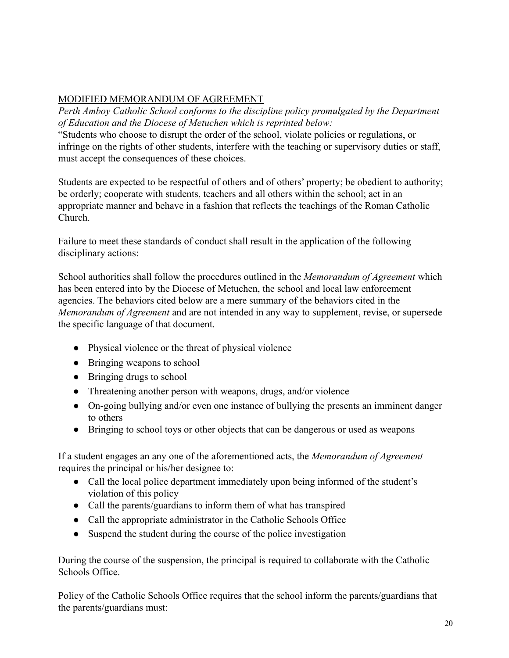## MODIFIED MEMORANDUM OF AGREEMENT

*Perth Amboy Catholic School conforms to the discipline policy promulgated by the Department of Education and the Diocese of Metuchen which is reprinted below:*

"Students who choose to disrupt the order of the school, violate policies or regulations, or infringe on the rights of other students, interfere with the teaching or supervisory duties or staff, must accept the consequences of these choices.

Students are expected to be respectful of others and of others' property; be obedient to authority; be orderly; cooperate with students, teachers and all others within the school; act in an appropriate manner and behave in a fashion that reflects the teachings of the Roman Catholic Church.

Failure to meet these standards of conduct shall result in the application of the following disciplinary actions:

School authorities shall follow the procedures outlined in the *Memorandum of Agreement* which has been entered into by the Diocese of Metuchen, the school and local law enforcement agencies. The behaviors cited below are a mere summary of the behaviors cited in the *Memorandum of Agreement* and are not intended in any way to supplement, revise, or supersede the specific language of that document.

- Physical violence or the threat of physical violence
- Bringing weapons to school
- Bringing drugs to school
- Threatening another person with weapons, drugs, and/or violence
- On-going bullying and/or even one instance of bullying the presents an imminent danger to others
- Bringing to school toys or other objects that can be dangerous or used as weapons

If a student engages an any one of the aforementioned acts, the *Memorandum of Agreement* requires the principal or his/her designee to:

- Call the local police department immediately upon being informed of the student's violation of this policy
- Call the parents/guardians to inform them of what has transpired
- Call the appropriate administrator in the Catholic Schools Office
- Suspend the student during the course of the police investigation

During the course of the suspension, the principal is required to collaborate with the Catholic Schools Office.

Policy of the Catholic Schools Office requires that the school inform the parents/guardians that the parents/guardians must: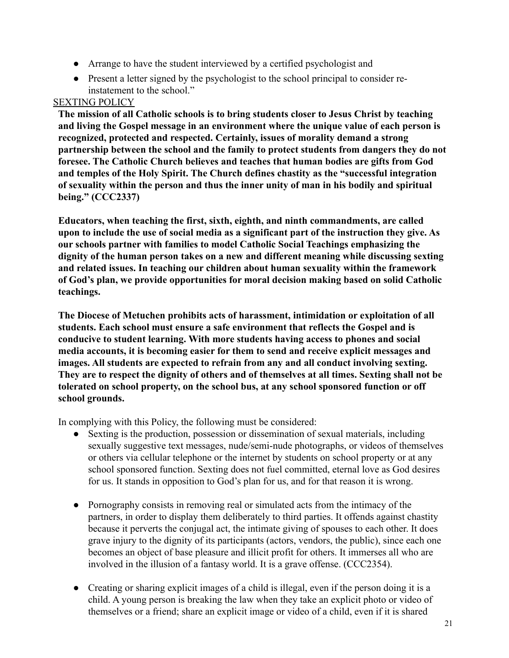- Arrange to have the student interviewed by a certified psychologist and
- Present a letter signed by the psychologist to the school principal to consider reinstatement to the school."

#### SEXTING POLICY

**The mission of all Catholic schools is to bring students closer to Jesus Christ by teaching and living the Gospel message in an environment where the unique value of each person is recognized, protected and respected. Certainly, issues of morality demand a strong partnership between the school and the family to protect students from dangers they do not foresee. The Catholic Church believes and teaches that human bodies are gifts from God and temples of the Holy Spirit. The Church defines chastity as the "successful integration of sexuality within the person and thus the inner unity of man in his bodily and spiritual being." (CCC2337)**

**Educators, when teaching the first, sixth, eighth, and ninth commandments, are called upon to include the use of social media as a significant part of the instruction they give. As our schools partner with families to model Catholic Social Teachings emphasizing the dignity of the human person takes on a new and different meaning while discussing sexting and related issues. In teaching our children about human sexuality within the framework of God's plan, we provide opportunities for moral decision making based on solid Catholic teachings.**

**The Diocese of Metuchen prohibits acts of harassment, intimidation or exploitation of all students. Each school must ensure a safe environment that reflects the Gospel and is conducive to student learning. With more students having access to phones and social media accounts, it is becoming easier for them to send and receive explicit messages and images. All students are expected to refrain from any and all conduct involving sexting. They are to respect the dignity of others and of themselves at all times. Sexting shall not be tolerated on school property, on the school bus, at any school sponsored function or off school grounds.**

In complying with this Policy, the following must be considered:

- Sexting is the production, possession or dissemination of sexual materials, including sexually suggestive text messages, nude/semi-nude photographs, or videos of themselves or others via cellular telephone or the internet by students on school property or at any school sponsored function. Sexting does not fuel committed, eternal love as God desires for us. It stands in opposition to God's plan for us, and for that reason it is wrong.
- Pornography consists in removing real or simulated acts from the intimacy of the partners, in order to display them deliberately to third parties. It offends against chastity because it perverts the conjugal act, the intimate giving of spouses to each other. It does grave injury to the dignity of its participants (actors, vendors, the public), since each one becomes an object of base pleasure and illicit profit for others. It immerses all who are involved in the illusion of a fantasy world. It is a grave offense. (CCC2354).
- Creating or sharing explicit images of a child is illegal, even if the person doing it is a child. A young person is breaking the law when they take an explicit photo or video of themselves or a friend; share an explicit image or video of a child, even if it is shared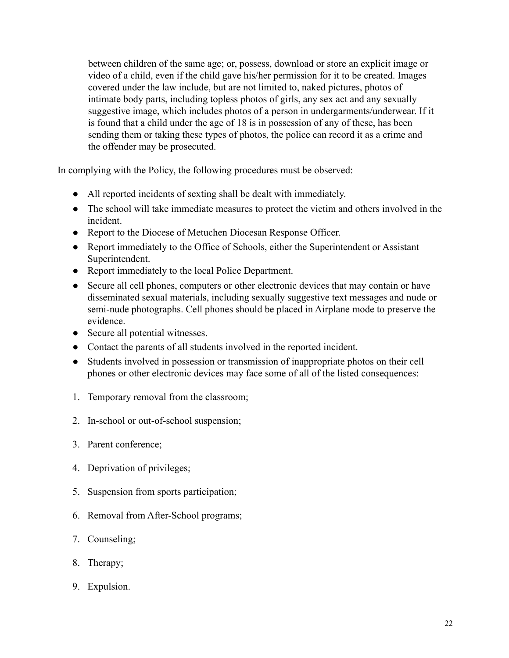between children of the same age; or, possess, download or store an explicit image or video of a child, even if the child gave his/her permission for it to be created. Images covered under the law include, but are not limited to, naked pictures, photos of intimate body parts, including topless photos of girls, any sex act and any sexually suggestive image, which includes photos of a person in undergarments/underwear. If it is found that a child under the age of 18 is in possession of any of these, has been sending them or taking these types of photos, the police can record it as a crime and the offender may be prosecuted.

In complying with the Policy, the following procedures must be observed:

- All reported incidents of sexting shall be dealt with immediately.
- The school will take immediate measures to protect the victim and others involved in the incident.
- Report to the Diocese of Metuchen Diocesan Response Officer.
- Report immediately to the Office of Schools, either the Superintendent or Assistant Superintendent.
- Report immediately to the local Police Department.
- Secure all cell phones, computers or other electronic devices that may contain or have disseminated sexual materials, including sexually suggestive text messages and nude or semi-nude photographs. Cell phones should be placed in Airplane mode to preserve the evidence.
- Secure all potential witnesses.
- Contact the parents of all students involved in the reported incident.
- Students involved in possession or transmission of inappropriate photos on their cell phones or other electronic devices may face some of all of the listed consequences:
- 1. Temporary removal from the classroom;
- 2. In-school or out-of-school suspension;
- 3. Parent conference;
- 4. Deprivation of privileges;
- 5. Suspension from sports participation;
- 6. Removal from After-School programs;
- 7. Counseling;
- 8. Therapy;
- 9. Expulsion.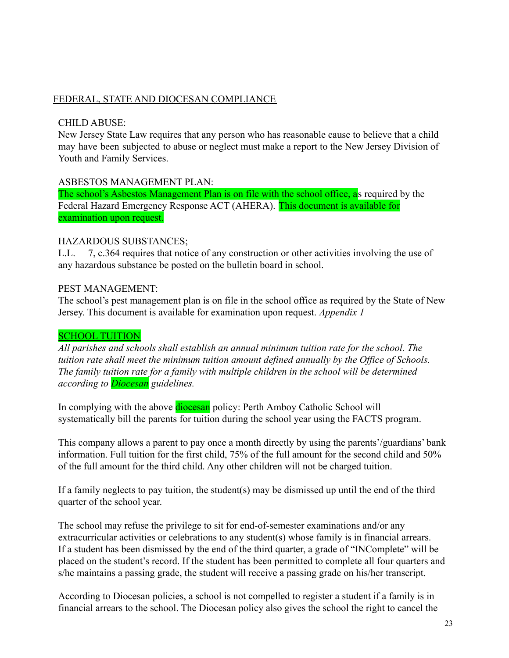#### FEDERAL, STATE AND DIOCESAN COMPLIANCE

#### CHILD ABUSE:

New Jersey State Law requires that any person who has reasonable cause to believe that a child may have been subjected to abuse or neglect must make a report to the New Jersey Division of Youth and Family Services.

#### ASBESTOS MANAGEMENT PLAN:

The school's Asbestos Management Plan is on file with the school office, as required by the Federal Hazard Emergency Response ACT (AHERA). This document is available for examination upon request.

#### HAZARDOUS SUBSTANCES;

L.L. 7, c.364 requires that notice of any construction or other activities involving the use of any hazardous substance be posted on the bulletin board in school.

#### PEST MANAGEMENT:

The school's pest management plan is on file in the school office as required by the State of New Jersey. This document is available for examination upon request. *Appendix 1*

#### SCHOOL TUITION

*All parishes and schools shall establish an annual minimum tuition rate for the school. The tuition rate shall meet the minimum tuition amount defined annually by the Office of Schools. The family tuition rate for a family with multiple children in the school will be determined according to Diocesan guidelines.*

In complying with the above **diocesan** policy: Perth Amboy Catholic School will systematically bill the parents for tuition during the school year using the FACTS program.

This company allows a parent to pay once a month directly by using the parents'/guardians' bank information. Full tuition for the first child, 75% of the full amount for the second child and 50% of the full amount for the third child. Any other children will not be charged tuition.

If a family neglects to pay tuition, the student(s) may be dismissed up until the end of the third quarter of the school year.

The school may refuse the privilege to sit for end-of-semester examinations and/or any extracurricular activities or celebrations to any student(s) whose family is in financial arrears. If a student has been dismissed by the end of the third quarter, a grade of "INComplete" will be placed on the student's record. If the student has been permitted to complete all four quarters and s/he maintains a passing grade, the student will receive a passing grade on his/her transcript.

According to Diocesan policies, a school is not compelled to register a student if a family is in financial arrears to the school. The Diocesan policy also gives the school the right to cancel the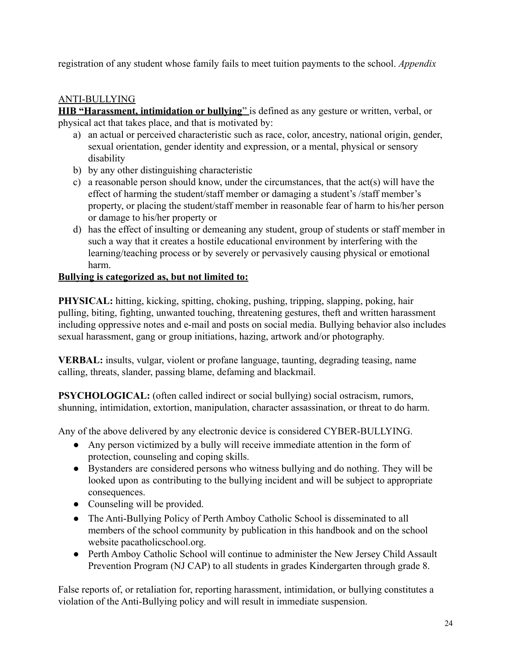registration of any student whose family fails to meet tuition payments to the school. *Appendix*

#### ANTI-BULLYING

**HIB "Harassment, intimidation or bullying**" is defined as any gesture or written, verbal, or physical act that takes place, and that is motivated by:

- a) an actual or perceived characteristic such as race, color, ancestry, national origin, gender, sexual orientation, gender identity and expression, or a mental, physical or sensory disability
- b) by any other distinguishing characteristic
- c) a reasonable person should know, under the circumstances, that the act(s) will have the effect of harming the student/staff member or damaging a student's /staff member's property, or placing the student/staff member in reasonable fear of harm to his/her person or damage to his/her property or
- d) has the effect of insulting or demeaning any student, group of students or staff member in such a way that it creates a hostile educational environment by interfering with the learning/teaching process or by severely or pervasively causing physical or emotional harm.

#### **Bullying is categorized as, but not limited to:**

**PHYSICAL:** hitting, kicking, spitting, choking, pushing, tripping, slapping, poking, hair pulling, biting, fighting, unwanted touching, threatening gestures, theft and written harassment including oppressive notes and e-mail and posts on social media. Bullying behavior also includes sexual harassment, gang or group initiations, hazing, artwork and/or photography.

**VERBAL:** insults, vulgar, violent or profane language, taunting, degrading teasing, name calling, threats, slander, passing blame, defaming and blackmail.

**PSYCHOLOGICAL:** (often called indirect or social bullying) social ostracism, rumors, shunning, intimidation, extortion, manipulation, character assassination, or threat to do harm.

Any of the above delivered by any electronic device is considered CYBER-BULLYING.

- Any person victimized by a bully will receive immediate attention in the form of protection, counseling and coping skills.
- Bystanders are considered persons who witness bullying and do nothing. They will be looked upon as contributing to the bullying incident and will be subject to appropriate consequences.
- Counseling will be provided.
- The Anti-Bullying Policy of Perth Amboy Catholic School is disseminated to all members of the school community by publication in this handbook and on the school website pacatholicschool.org.
- Perth Amboy Catholic School will continue to administer the New Jersey Child Assault Prevention Program (NJ CAP) to all students in grades Kindergarten through grade 8.

False reports of, or retaliation for, reporting harassment, intimidation, or bullying constitutes a violation of the Anti-Bullying policy and will result in immediate suspension.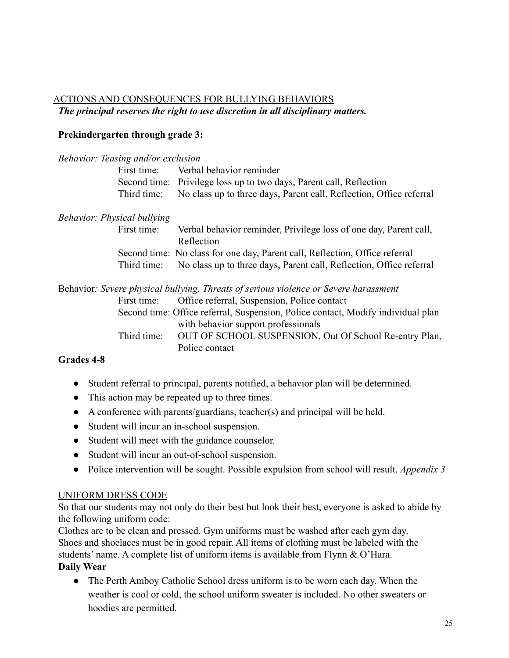## ACTIONS AND CONSEQUENCES FOR BULLYING BEHAVIORS *The principal reserves the right to use discretion in all disciplinary matters.*

#### **Prekindergarten through grade 3:**

| <b>Behavior: Teasing and/or exclusion</b> |                                                                                      |
|-------------------------------------------|--------------------------------------------------------------------------------------|
| First time:                               | Verbal behavior reminder                                                             |
|                                           | Second time: Privilege loss up to two days, Parent call, Reflection                  |
| Third time:                               | No class up to three days, Parent call, Reflection, Office referral                  |
| <b>Behavior: Physical bullying</b>        |                                                                                      |
| First time:                               | Verbal behavior reminder, Privilege loss of one day, Parent call,<br>Reflection      |
|                                           | Second time: No class for one day, Parent call, Reflection, Office referral          |
| Third time:                               | No class up to three days, Parent call, Reflection, Office referral                  |
|                                           | Behavior: Severe physical bullying, Threats of serious violence or Severe harassment |
| First time:                               | Office referral, Suspension, Police contact                                          |
|                                           | Second time: Office referral, Suspension, Police contact, Modify individual plan     |
|                                           | with behavior support professionals                                                  |
| Third time:                               | OUT OF SCHOOL SUSPENSION, Out Of School Re-entry Plan,<br>Police contact             |

### **Grades 4-8**

- Student referral to principal, parents notified, a behavior plan will be determined.
- This action may be repeated up to three times.
- A conference with parents/guardians, teacher(s) and principal will be held.
- Student will incur an in-school suspension.
- Student will meet with the guidance counselor.
- Student will incur an out-of-school suspension.
- Police intervention will be sought. Possible expulsion from school will result. *Appendix 3*

#### UNIFORM DRESS CODE

So that our students may not only do their best but look their best, everyone is asked to abide by the following uniform code:

Clothes are to be clean and pressed. Gym uniforms must be washed after each gym day. Shoes and shoelaces must be in good repair. All items of clothing must be labeled with the students' name. A complete list of uniform items is available from Flynn & O'Hara. **Daily Wear**

• The Perth Amboy Catholic School dress uniform is to be worn each day. When the weather is cool or cold, the school uniform sweater is included. No other sweaters or hoodies are permitted.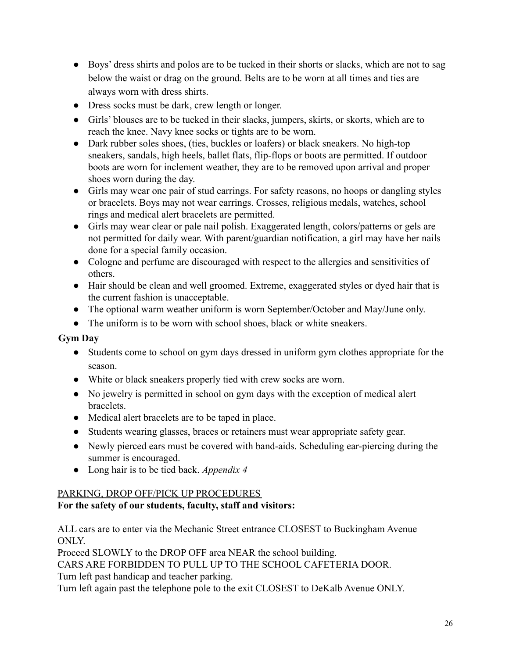- Boys' dress shirts and polos are to be tucked in their shorts or slacks, which are not to sag below the waist or drag on the ground. Belts are to be worn at all times and ties are always worn with dress shirts.
- Dress socks must be dark, crew length or longer.
- Girls' blouses are to be tucked in their slacks, jumpers, skirts, or skorts, which are to reach the knee. Navy knee socks or tights are to be worn.
- Dark rubber soles shoes, (ties, buckles or loafers) or black sneakers. No high-top sneakers, sandals, high heels, ballet flats, flip-flops or boots are permitted. If outdoor boots are worn for inclement weather, they are to be removed upon arrival and proper shoes worn during the day.
- Girls may wear one pair of stud earrings. For safety reasons, no hoops or dangling styles or bracelets. Boys may not wear earrings. Crosses, religious medals, watches, school rings and medical alert bracelets are permitted.
- Girls may wear clear or pale nail polish. Exaggerated length, colors/patterns or gels are not permitted for daily wear. With parent/guardian notification, a girl may have her nails done for a special family occasion.
- Cologne and perfume are discouraged with respect to the allergies and sensitivities of others.
- Hair should be clean and well groomed. Extreme, exaggerated styles or dyed hair that is the current fashion is unacceptable.
- The optional warm weather uniform is worn September/October and May/June only.
- The uniform is to be worn with school shoes, black or white sneakers.

### **Gym Day**

- Students come to school on gym days dressed in uniform gym clothes appropriate for the season.
- White or black sneakers properly tied with crew socks are worn.
- No jewelry is permitted in school on gym days with the exception of medical alert bracelets.
- Medical alert bracelets are to be taped in place.
- Students wearing glasses, braces or retainers must wear appropriate safety gear.
- Newly pierced ears must be covered with band-aids. Scheduling ear-piercing during the summer is encouraged.
- Long hair is to be tied back. *Appendix 4*

## PARKING, DROP OFF/PICK UP PROCEDURES

## **For the safety of our students, faculty, staff and visitors:**

ALL cars are to enter via the Mechanic Street entrance CLOSEST to Buckingham Avenue ONLY.

Proceed SLOWLY to the DROP OFF area NEAR the school building.

CARS ARE FORBIDDEN TO PULL UP TO THE SCHOOL CAFETERIA DOOR.

Turn left past handicap and teacher parking.

Turn left again past the telephone pole to the exit CLOSEST to DeKalb Avenue ONLY.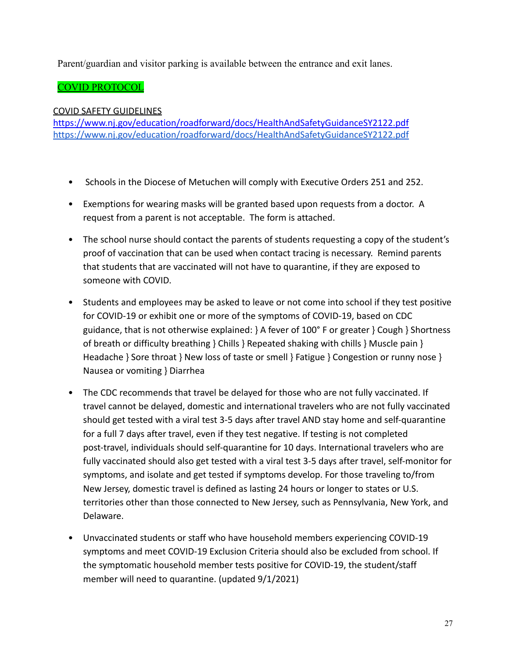Parent/guardian and visitor parking is available between the entrance and exit lanes.

## COVID PROTOCOL

#### COVID SAFETY GUIDELINES

<https://www.nj.gov/education/roadforward/docs/HealthAndSafetyGuidanceSY2122.pdf> <https://www.nj.gov/education/roadforward/docs/HealthAndSafetyGuidanceSY2122.pdf>

- Schools in the Diocese of Metuchen will comply with Executive Orders 251 and 252.
- Exemptions for wearing masks will be granted based upon requests from a doctor. A request from a parent is not acceptable. The form is attached.
- The school nurse should contact the parents of students requesting a copy of the student's proof of vaccination that can be used when contact tracing is necessary. Remind parents that students that are vaccinated will not have to quarantine, if they are exposed to someone with COVID.
- Students and employees may be asked to leave or not come into school if they test positive for COVID-19 or exhibit one or more of the symptoms of COVID-19, based on CDC guidance, that is not otherwise explained: } A fever of 100° F or greater } Cough } Shortness of breath or difficulty breathing } Chills } Repeated shaking with chills } Muscle pain } Headache } Sore throat } New loss of taste or smell } Fatigue } Congestion or runny nose } Nausea or vomiting } Diarrhea
- The CDC recommends that travel be delayed for those who are not fully vaccinated. If travel cannot be delayed, domestic and international travelers who are not fully vaccinated should get tested with a viral test 3-5 days after travel AND stay home and self-quarantine for a full 7 days after travel, even if they test negative. If testing is not completed post-travel, individuals should self-quarantine for 10 days. International travelers who are fully vaccinated should also get tested with a viral test 3-5 days after travel, self-monitor for symptoms, and isolate and get tested if symptoms develop. For those traveling to/from New Jersey, domestic travel is defined as lasting 24 hours or longer to states or U.S. territories other than those connected to New Jersey, such as Pennsylvania, New York, and Delaware.
- Unvaccinated students or staff who have household members experiencing COVID-19 symptoms and meet COVID-19 Exclusion Criteria should also be excluded from school. If the symptomatic household member tests positive for COVID-19, the student/staff member will need to quarantine. (updated 9/1/2021)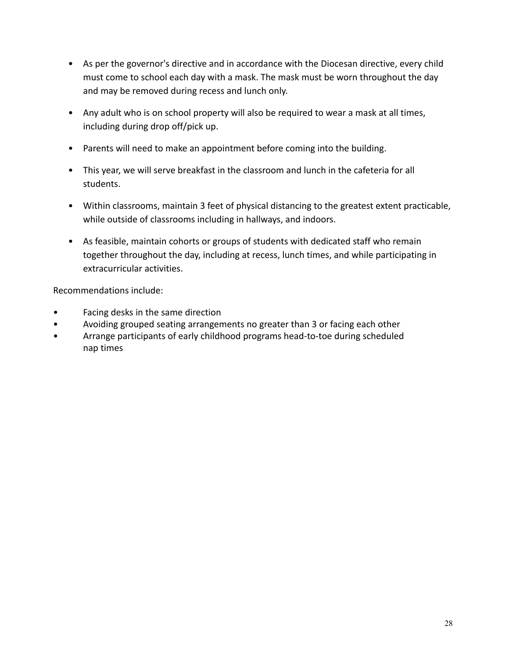- As per the governor's directive and in accordance with the Diocesan directive, every child must come to school each day with a mask. The mask must be worn throughout the day and may be removed during recess and lunch only.
- Any adult who is on school property will also be required to wear a mask at all times, including during drop off/pick up.
- Parents will need to make an appointment before coming into the building.
- This year, we will serve breakfast in the classroom and lunch in the cafeteria for all students.
- Within classrooms, maintain 3 feet of physical distancing to the greatest extent practicable, while outside of classrooms including in hallways, and indoors.
- As feasible, maintain cohorts or groups of students with dedicated staff who remain together throughout the day, including at recess, lunch times, and while participating in extracurricular activities.

Recommendations include:

- Facing desks in the same direction
- Avoiding grouped seating arrangements no greater than 3 or facing each other
- Arrange participants of early childhood programs head-to-toe during scheduled nap times